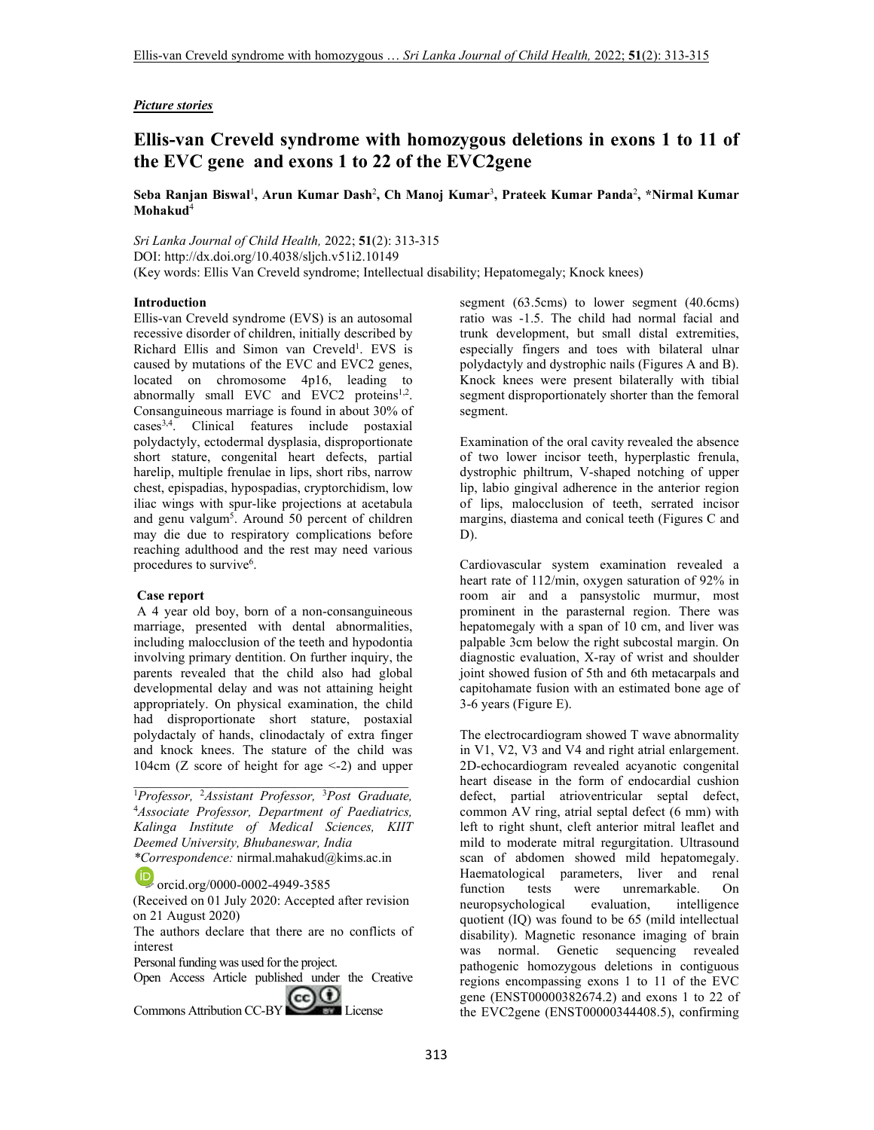## *Picture stories*

# **Ellis-van Creveld syndrome with homozygous deletions in exons 1 to 11 of the EVC gene and exons 1 to 22 of the EVC2gene**

**Seba Ranjan Biswal**<sup>1</sup> **, Arun Kumar Dash**<sup>2</sup> **, Ch Manoj Kumar**<sup>3</sup> **, Prateek Kumar Panda**<sup>2</sup> **, \*Nirmal Kumar Mohakud**<sup>4</sup>

*Sri Lanka Journal of Child Health,* 2022; **51**(2): 313-315 DOI: http://dx.doi.org/10.4038/sljch.v51i2.10149 (Key words: Ellis Van Creveld syndrome; Intellectual disability; Hepatomegaly; Knock knees)

### **Introduction**

Ellis-van Creveld syndrome (EVS) is an autosomal recessive disorder of children, initially described by Richard Ellis and Simon van Creveld<sup>1</sup>. EVS is caused by mutations of the EVC and EVC2 genes, located on chromosome 4p16, leading to abnormally small EVC and EVC2 proteins<sup>1,2</sup>. Consanguineous marriage is found in about 30% of cases3,4. Clinical features include postaxial polydactyly, ectodermal dysplasia, disproportionate short stature, congenital heart defects, partial harelip, multiple frenulae in lips, short ribs, narrow chest, epispadias, hypospadias, cryptorchidism, low iliac wings with spur-like projections at acetabula and genu valgum<sup>5</sup>. Around 50 percent of children may die due to respiratory complications before reaching adulthood and the rest may need various procedures to survive<sup>6</sup>.

#### **Case report**

 A 4 year old boy, born of a non-consanguineous marriage, presented with dental abnormalities, including malocclusion of the teeth and hypodontia involving primary dentition. On further inquiry, the parents revealed that the child also had global developmental delay and was not attaining height appropriately. On physical examination, the child had disproportionate short stature, postaxial polydactaly of hands, clinodactaly of extra finger and knock knees. The stature of the child was 104cm (Z score of height for age <-2) and upper

<sup>1</sup>*Professor,* <sup>2</sup>*Assistant Professor,* <sup>3</sup>*Post Graduate,*  <sup>4</sup>*Associate Professor, Department of Paediatrics, Kalinga Institute of Medical Sciences, KIIT Deemed University, Bhubaneswar, India \*Correspondence:* nirmal.mahakud@kims.ac.in

\_\_\_\_\_\_\_\_\_\_\_\_\_\_\_\_\_\_\_\_\_\_\_\_\_\_\_\_\_\_\_\_\_\_\_\_\_\_\_\_\_

orcid.org/0000-0002-4949-3585

(Received on 01 July 2020: Accepted after revision on 21 August 2020)

The authors declare that there are no conflicts of interest

Personal funding was used for the project.

Open Access Article published under the Creative  $\bf o$  $_{\rm cc)}$ 

Commons Attribution CC-BY License

segment (63.5cms) to lower segment (40.6cms) ratio was -1.5. The child had normal facial and trunk development, but small distal extremities, especially fingers and toes with bilateral ulnar polydactyly and dystrophic nails (Figures A and B). Knock knees were present bilaterally with tibial segment disproportionately shorter than the femoral segment.

Examination of the oral cavity revealed the absence of two lower incisor teeth, hyperplastic frenula, dystrophic philtrum, V-shaped notching of upper lip, labio gingival adherence in the anterior region of lips, malocclusion of teeth, serrated incisor margins, diastema and conical teeth (Figures C and D).

Cardiovascular system examination revealed a heart rate of 112/min, oxygen saturation of 92% in room air and a pansystolic murmur, most prominent in the parasternal region. There was hepatomegaly with a span of 10 cm, and liver was palpable 3cm below the right subcostal margin. On diagnostic evaluation, X-ray of wrist and shoulder joint showed fusion of 5th and 6th metacarpals and capitohamate fusion with an estimated bone age of 3-6 years (Figure E).

The electrocardiogram showed T wave abnormality in V1, V2, V3 and V4 and right atrial enlargement. 2D-echocardiogram revealed acyanotic congenital heart disease in the form of endocardial cushion defect, partial atrioventricular septal defect, common AV ring, atrial septal defect (6 mm) with left to right shunt, cleft anterior mitral leaflet and mild to moderate mitral regurgitation. Ultrasound scan of abdomen showed mild hepatomegaly. Haematological parameters, liver and renal function tests were unremarkable. On neuropsychological evaluation, intelligence quotient (IQ) was found to be 65 (mild intellectual disability). Magnetic resonance imaging of brain was normal. Genetic sequencing revealed pathogenic homozygous deletions in contiguous regions encompassing exons 1 to 11 of the EVC gene (ENST00000382674.2) and exons 1 to 22 of the EVC2gene (ENST00000344408.5), confirming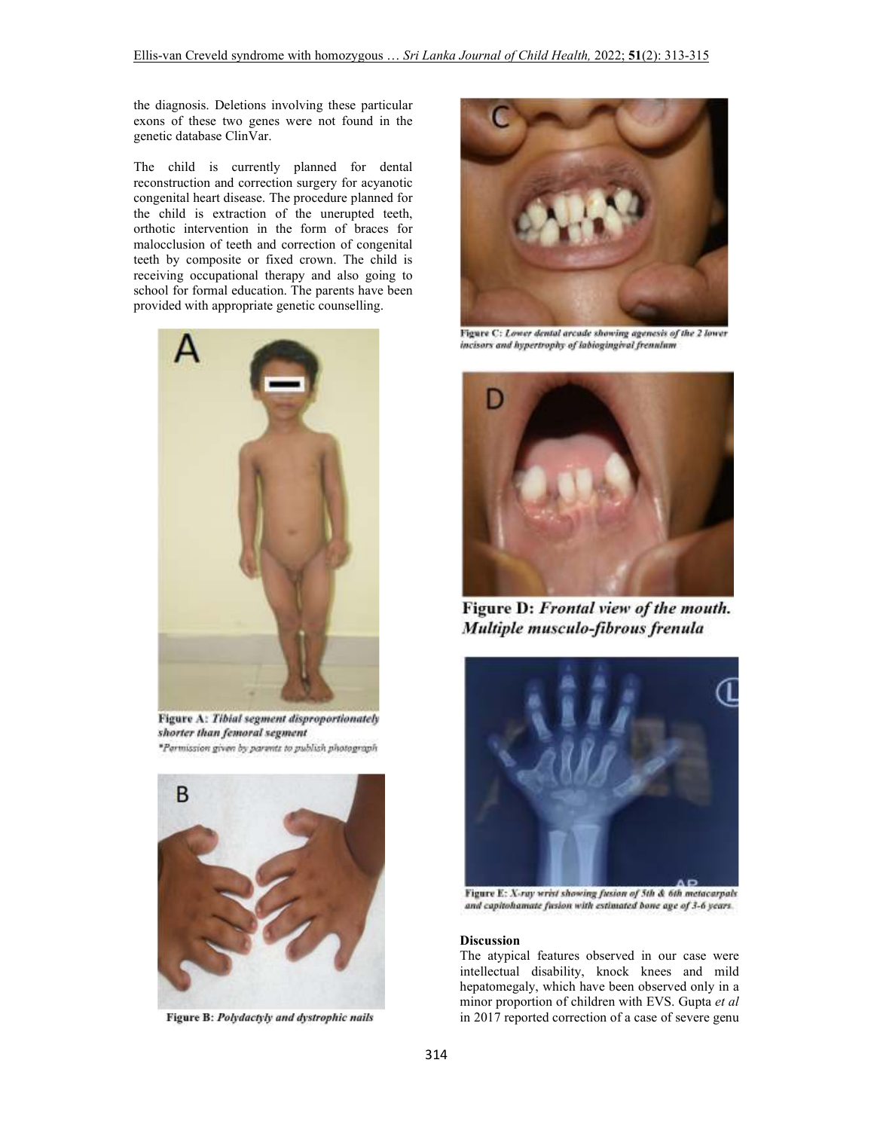the diagnosis. Deletions involving these particular exons of these two genes were not found in the genetic database ClinVar.

The child is currently planned for dental reconstruction and correction surgery for acyanotic congenital heart disease. The procedure planned for the child is extraction of the unerupted teeth, orthotic intervention in the form of braces for malocclusion of teeth and correction of congenital teeth by composite or fixed crown. The child is receiving occupational therapy and also going to school for formal education. The parents have been provided with appropriate genetic counselling.



Figure A: Tibial segment disproportionately shorter than femoral segment \*Parmission given by parents to publish photograph



Figure B: Polydactyly and dystrophic nails



Figure C: Lower dental arcade showing agenesis of the 2 lower incisors and hypertrophy of labiogingival frenulum



Figure D: Frontal view of the mouth. Multiple musculo-fibrous frenula



Figure E: X-ray wrist showing fusion of 5th & 6th metacarpals and capitohamate fusion with estimated bone age of 3-6 years.

#### **Discussion**

The atypical features observed in our case were intellectual disability, knock knees and mild hepatomegaly, which have been observed only in a minor proportion of children with EVS. Gupta *et al* in 2017 reported correction of a case of severe genu